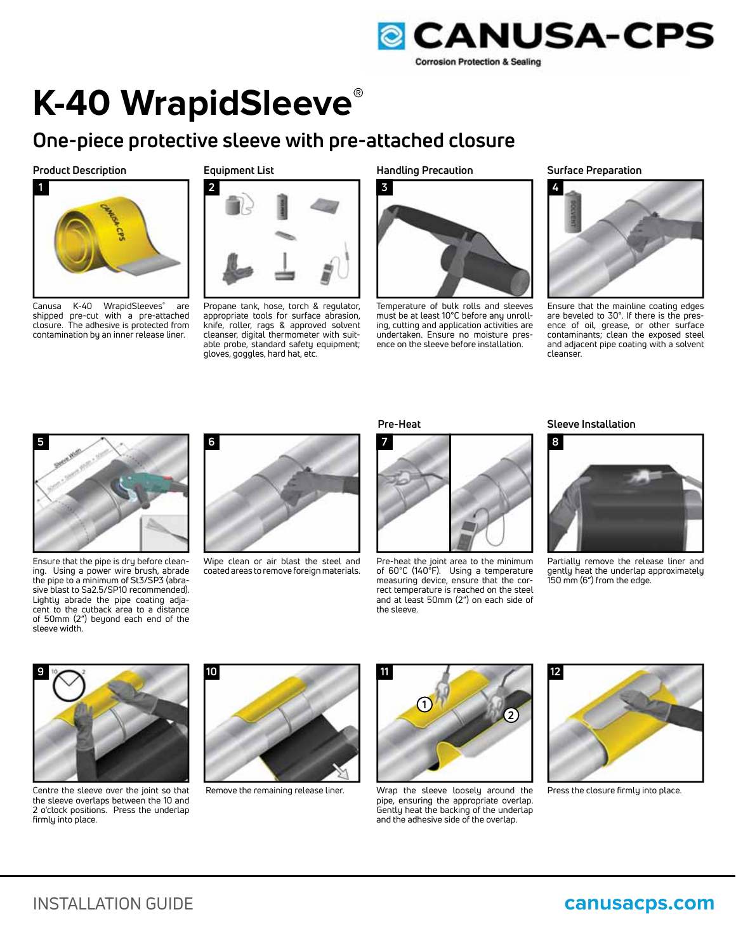

## **K-40 WrapidSleeve®**

### **One-piece protective sleeve with pre-attached closure**

#### **Product Description**



Canusa K-40 WrapidSleeves**®** are shipped pre-cut with a pre-attached closure. The adhesive is protected from contamination by an inner release liner.

#### **Equipment List**



Propane tank, hose, torch & regulator, appropriate tools for surface abrasion, knife, roller, rags & approved solvent cleanser, digital thermometer with suitable probe, standard safety equipment; gloves, goggles, hard hat, etc.

**Handling Precaution**



Temperature of bulk rolls and sleeves must be at least 10°C before any unrolling, cutting and application activities are undertaken. Ensure no moisture presence on the sleeve before installation.

#### **Surface Preparation**



Ensure that the mainline coating edges are beveled to 30°. If there is the presence of oil, grease, or other surface contaminants; clean the exposed steel and adjacent pipe coating with a solvent cleanser.



Ensure that the pipe is dry before cleaning. Using a power wire brush, abrade the pipe to a minimum of St3/SP3 (abrasive blast to Sa2.5/SP10 recommended). Lightly abrade the pipe coating adjacent to the cutback area to a distance of 50mm (2") beyond each end of the sleeve width.



Wipe clean or air blast the steel and coated areas to remove foreign materials.



Pre-heat the joint area to the minimum of 60°C (140°F). Using a temperature measuring device, ensure that the correct temperature is reached on the steel and at least 50mm (2") on each side of the sleeve.

#### **Pre-Heat** Sleeve Installation



Partially remove the release liner and gently heat the underlap approximately 150 mm (6") from the edge.



Centre the sleeve over the joint so that the sleeve overlaps between the 10 and 2 o'clock positions. Press the underlap firmly into place.



Remove the remaining release liner.



Wrap the sleeve loosely around the pipe, ensuring the appropriate overlap. Gently heat the backing of the underlap and the adhesive side of the overlap.



Press the closure firmly into place.